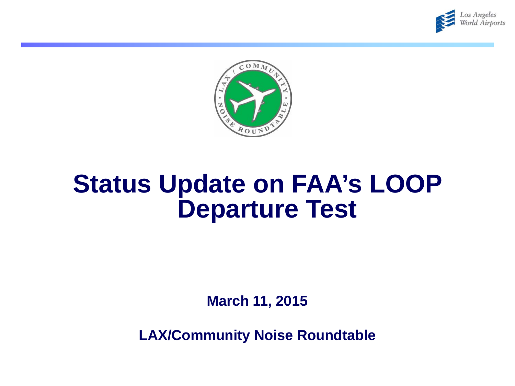



## **Status Update on FAA's LOOP Departure Test**

**March 11, 2015**

**LAX/Community Noise Roundtable**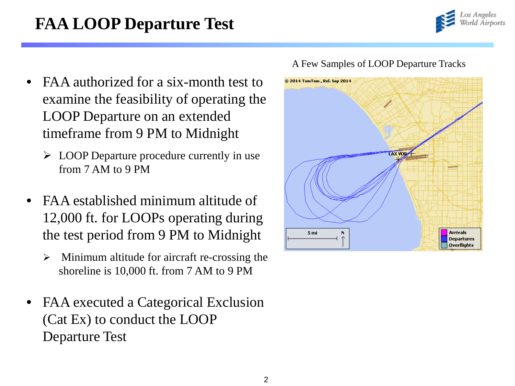## **FAA LOOP Departure Test**



- FAA authorized for a six-month test to examine the feasibility of operating the LOOP Departure on an extended timeframe from 9 PM to Midnight
	- LOOP Departure procedure currently in use from 7 AM to 9 PM
- FAA established minimum altitude of 12,000 ft. for LOOPs operating during the test period from 9 PM to Midnight
	- $\triangleright$  Minimum altitude for aircraft re-crossing the shoreline is 10,000 ft. from 7 AM to 9 PM
- FAA executed a Categorical Exclusion (Cat Ex) to conduct the LOOP Departure Test



## A Few Samples of LOOP Departure Tracks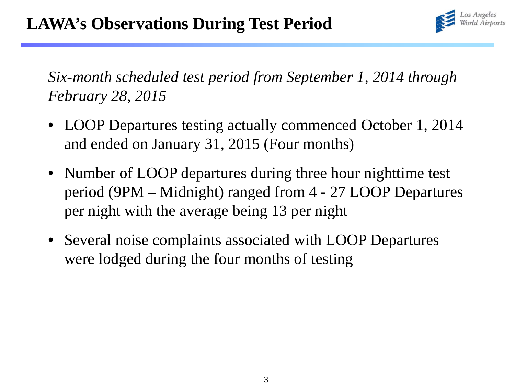

*Six-month scheduled test period from September 1, 2014 through February 28, 2015*

- LOOP Departures testing actually commenced October 1, 2014 and ended on January 31, 2015 (Four months)
- Number of LOOP departures during three hour nighttime test period (9PM – Midnight) ranged from 4 - 27 LOOP Departures per night with the average being 13 per night
- Several noise complaints associated with LOOP Departures were lodged during the four months of testing